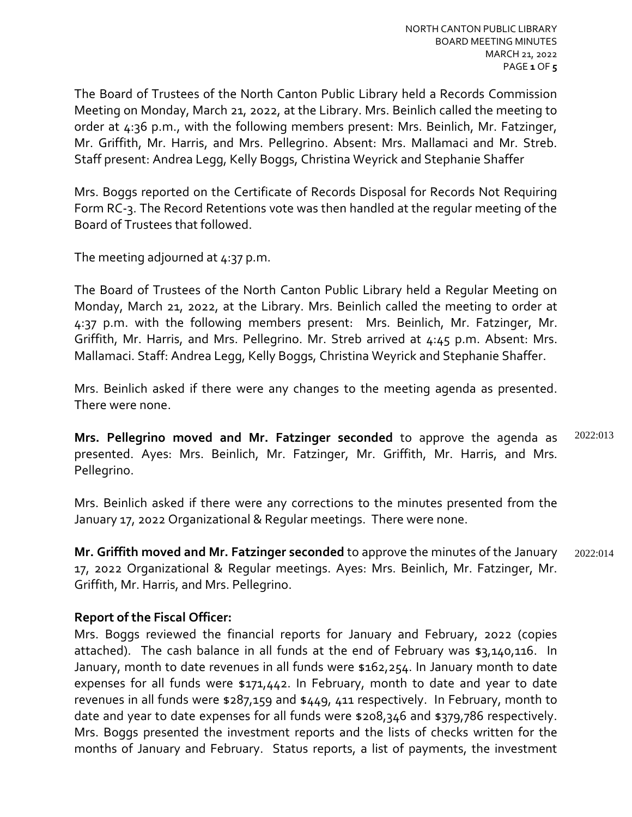The Board of Trustees of the North Canton Public Library held a Records Commission Meeting on Monday, March 21, 2022, at the Library. Mrs. Beinlich called the meeting to order at 4:36 p.m., with the following members present: Mrs. Beinlich, Mr. Fatzinger, Mr. Griffith, Mr. Harris, and Mrs. Pellegrino. Absent: Mrs. Mallamaci and Mr. Streb. Staff present: Andrea Legg, Kelly Boggs, Christina Weyrick and Stephanie Shaffer

Mrs. Boggs reported on the Certificate of Records Disposal for Records Not Requiring Form RC-3. The Record Retentions vote was then handled at the regular meeting of the Board of Trustees that followed.

The meeting adjourned at  $4:37$  p.m.

The Board of Trustees of the North Canton Public Library held a Regular Meeting on Monday, March 21, 2022, at the Library. Mrs. Beinlich called the meeting to order at 4:37 p.m. with the following members present: Mrs. Beinlich, Mr. Fatzinger, Mr. Griffith, Mr. Harris, and Mrs. Pellegrino. Mr. Streb arrived at 4:45 p.m. Absent: Mrs. Mallamaci. Staff: Andrea Legg, Kelly Boggs, Christina Weyrick and Stephanie Shaffer.

Mrs. Beinlich asked if there were any changes to the meeting agenda as presented. There were none.

**Mrs. Pellegrino moved and Mr. Fatzinger seconded** to approve the agenda as presented. Ayes: Mrs. Beinlich, Mr. Fatzinger, Mr. Griffith, Mr. Harris, and Mrs. Pellegrino. 2022:013

Mrs. Beinlich asked if there were any corrections to the minutes presented from the January 17, 2022 Organizational & Regular meetings. There were none.

**Mr. Griffith moved and Mr. Fatzinger seconded** to approve the minutes of the January 17, 2022 Organizational & Regular meetings. Ayes: Mrs. Beinlich, Mr. Fatzinger, Mr. Griffith, Mr. Harris, and Mrs. Pellegrino. 2022:014

# **Report of the Fiscal Officer:**

Mrs. Boggs reviewed the financial reports for January and February, 2022 (copies attached). The cash balance in all funds at the end of February was \$3,140,116. In January, month to date revenues in all funds were \$162,254. In January month to date expenses for all funds were \$171,442. In February, month to date and year to date revenues in all funds were \$287,159 and \$449, 411 respectively. In February, month to date and year to date expenses for all funds were \$208,346 and \$379,786 respectively. Mrs. Boggs presented the investment reports and the lists of checks written for the months of January and February. Status reports, a list of payments, the investment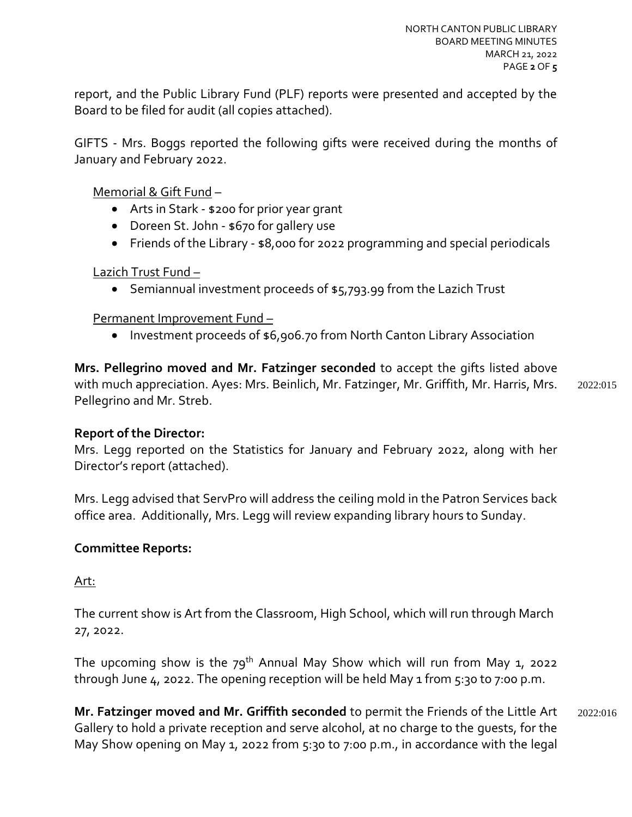report, and the Public Library Fund (PLF) reports were presented and accepted by the Board to be filed for audit (all copies attached).

GIFTS - Mrs. Boggs reported the following gifts were received during the months of January and February 2022.

Memorial & Gift Fund –

- Arts in Stark \$200 for prior year grant
- Doreen St. John \$670 for gallery use
- Friends of the Library \$8,000 for 2022 programming and special periodicals

Lazich Trust Fund –

• Semiannual investment proceeds of \$5,793.99 from the Lazich Trust

Permanent Improvement Fund –

• Investment proceeds of \$6,906.70 from North Canton Library Association

**Mrs. Pellegrino moved and Mr. Fatzinger seconded** to accept the gifts listed above with much appreciation. Ayes: Mrs. Beinlich, Mr. Fatzinger, Mr. Griffith, Mr. Harris, Mrs. Pellegrino and Mr. Streb.

2022:015

## **Report of the Director:**

Mrs. Legg reported on the Statistics for January and February 2022, along with her Director's report (attached).

Mrs. Legg advised that ServPro will address the ceiling mold in the Patron Services back office area. Additionally, Mrs. Legg will review expanding library hours to Sunday.

## **Committee Reports:**

Art:

The current show is Art from the Classroom, High School, which will run through March 27, 2022.

The upcoming show is the  $79^{th}$  Annual May Show which will run from May 1, 2022 through June  $4$ , 2022. The opening reception will be held May 1 from  $5:30$  to 7:00 p.m.

**Mr. Fatzinger moved and Mr. Griffith seconded** to permit the Friends of the Little Art Gallery to hold a private reception and serve alcohol, at no charge to the guests, for the May Show opening on May 1, 2022 from 5:30 to 7:00 p.m., in accordance with the legal 2022:016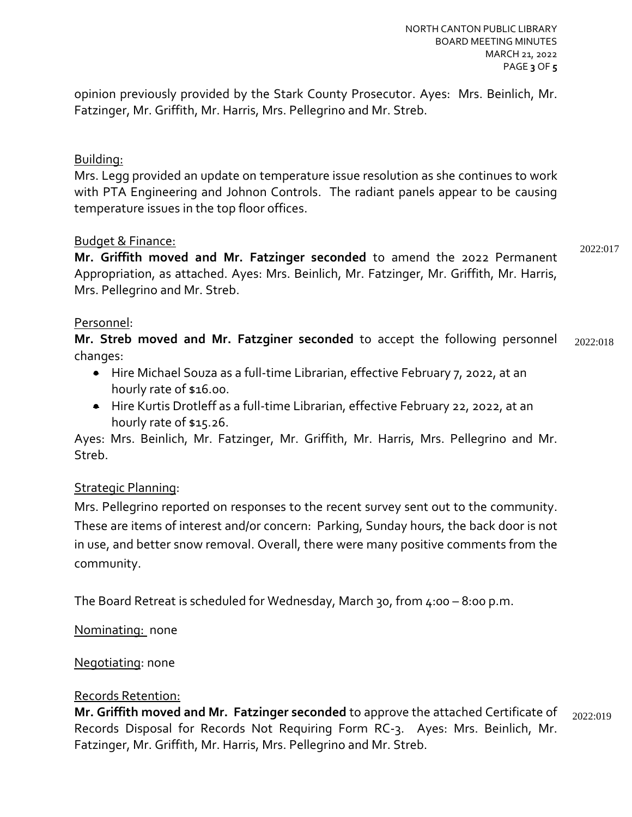opinion previously provided by the Stark County Prosecutor. Ayes: Mrs. Beinlich, Mr. Fatzinger, Mr. Griffith, Mr. Harris, Mrs. Pellegrino and Mr. Streb.

# Building:

Mrs. Legg provided an update on temperature issue resolution as she continues to work with PTA Engineering and Johnon Controls. The radiant panels appear to be causing temperature issues in the top floor offices.

## Budget & Finance:

**Mr. Griffith moved and Mr. Fatzinger seconded** to amend the 2022 Permanent Appropriation, as attached. Ayes: Mrs. Beinlich, Mr. Fatzinger, Mr. Griffith, Mr. Harris, Mrs. Pellegrino and Mr. Streb. 2022:017

### Personnel:

**Mr. Streb moved and Mr. Fatzginer seconded** to accept the following personnel changes: 2022:018

- Hire Michael Souza as a full-time Librarian, effective February 7, 2022, at an hourly rate of \$16.00.
- Hire Kurtis Drotleff as a full-time Librarian, effective February 22, 2022, at an hourly rate of \$15.26.

Ayes: Mrs. Beinlich, Mr. Fatzinger, Mr. Griffith, Mr. Harris, Mrs. Pellegrino and Mr. Streb.

## Strategic Planning:

Mrs. Pellegrino reported on responses to the recent survey sent out to the community. These are items of interest and/or concern: Parking, Sunday hours, the back door is not in use, and better snow removal. Overall, there were many positive comments from the community.

The Board Retreat is scheduled for Wednesday, March 30, from 4:00 – 8:00 p.m.

Nominating: none

#### Negotiating: none

#### Records Retention:

**Mr. Griffith moved and Mr. Fatzinger seconded** to approve the attached Certificate of Records Disposal for Records Not Requiring Form RC-3. Ayes: Mrs. Beinlich, Mr. Fatzinger, Mr. Griffith, Mr. Harris, Mrs. Pellegrino and Mr. Streb. 2022:019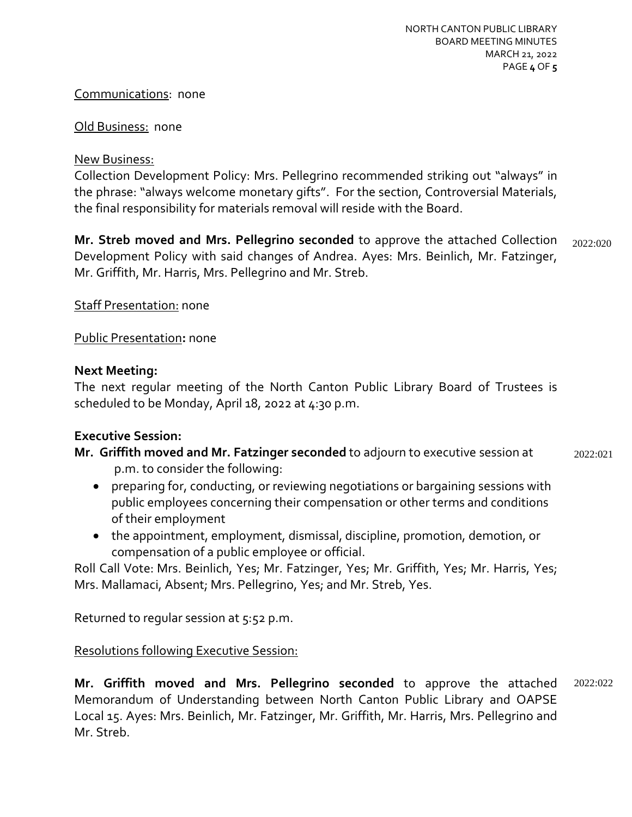### Communications: none

#### **Old Business: none**

### New Business:

Collection Development Policy: Mrs. Pellegrino recommended striking out "always" in the phrase: "always welcome monetary gifts". For the section, Controversial Materials, the final responsibility for materials removal will reside with the Board.

**Mr. Streb moved and Mrs. Pellegrino seconded** to approve the attached Collection Development Policy with said changes of Andrea. Ayes: Mrs. Beinlich, Mr. Fatzinger, Mr. Griffith, Mr. Harris, Mrs. Pellegrino and Mr. Streb. 2022:020

Staff Presentation: none

# Public Presentation**:** none

# **Next Meeting:**

The next regular meeting of the North Canton Public Library Board of Trustees is scheduled to be Monday, April 18, 2022 at 4:30 p.m.

## **Executive Session:**

- **Mr. Griffith moved and Mr. Fatzinger seconded** to adjourn to executive session at p.m. to consider the following: 2022:021
	- preparing for, conducting, or reviewing negotiations or bargaining sessions with public employees concerning their compensation or other terms and conditions of their employment
	- the appointment, employment, dismissal, discipline, promotion, demotion, or compensation of a public employee or official.

Roll Call Vote: Mrs. Beinlich, Yes; Mr. Fatzinger, Yes; Mr. Griffith, Yes; Mr. Harris, Yes; Mrs. Mallamaci, Absent; Mrs. Pellegrino, Yes; and Mr. Streb, Yes.

Returned to regular session at 5:52 p.m.

# Resolutions following Executive Session:

**Mr. Griffith moved and Mrs. Pellegrino seconded** to approve the attached Memorandum of Understanding between North Canton Public Library and OAPSE Local 15. Ayes: Mrs. Beinlich, Mr. Fatzinger, Mr. Griffith, Mr. Harris, Mrs. Pellegrino and Mr. Streb. 2022:022